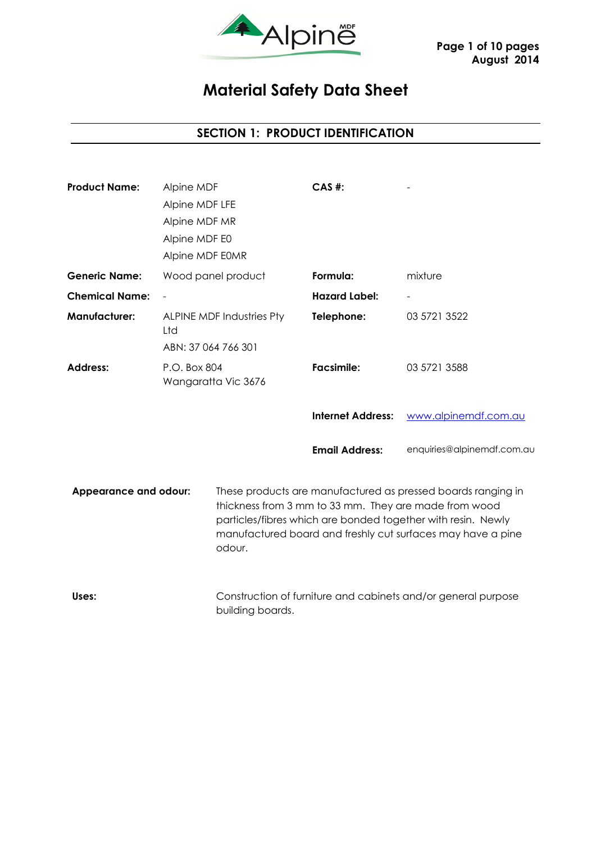

# **Material Safety Data Sheet**

# **SECTION 1: PRODUCT IDENTIFICATION**

| <b>Product Name:</b>                   | Alpine MDF<br>Alpine MDF LFE<br>Alpine MDF MR<br>Alpine MDF E0<br>Alpine MDF E0MR |                     | $CAS$ #:                                                                                                                                                                                                                                             |                                                               |
|----------------------------------------|-----------------------------------------------------------------------------------|---------------------|------------------------------------------------------------------------------------------------------------------------------------------------------------------------------------------------------------------------------------------------------|---------------------------------------------------------------|
| <b>Generic Name:</b>                   |                                                                                   | Wood panel product  | Formula:                                                                                                                                                                                                                                             | mixture                                                       |
| <b>Chemical Name:</b>                  |                                                                                   |                     | <b>Hazard Label:</b>                                                                                                                                                                                                                                 |                                                               |
| <b>Manufacturer:</b>                   | <b>ALPINE MDF Industries Pty</b><br>Ltd<br>ABN: 37 064 766 301                    |                     | Telephone:                                                                                                                                                                                                                                           | 03 5721 3522                                                  |
| <b>Address:</b>                        | P.O. Box 804                                                                      | Wangaratta Vic 3676 | <b>Facsimile:</b>                                                                                                                                                                                                                                    | 03 5721 3588                                                  |
|                                        |                                                                                   |                     | <b>Internet Address:</b>                                                                                                                                                                                                                             | www.alpinemdf.com.au                                          |
|                                        |                                                                                   |                     | <b>Email Address:</b>                                                                                                                                                                                                                                | enquiries@alpinemdf.com.au                                    |
| <b>Appearance and odour:</b><br>odour. |                                                                                   |                     | These products are manufactured as pressed boards ranging in<br>thickness from 3 mm to 33 mm. They are made from wood<br>particles/fibres which are bonded together with resin. Newly<br>manufactured board and freshly cut surfaces may have a pine |                                                               |
| Uses:                                  |                                                                                   |                     |                                                                                                                                                                                                                                                      | Construction of furniture and cabinets and/or general purpose |

building boards.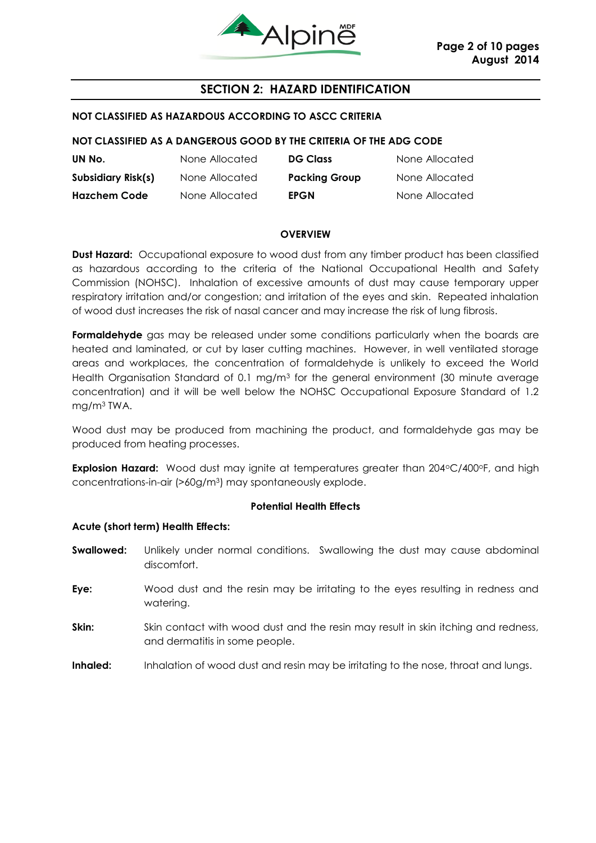

# **SECTION 2: HAZARD IDENTIFICATION**

#### **NOT CLASSIFIED AS HAZARDOUS ACCORDING TO ASCC CRITERIA**

#### **NOT CLASSIFIED AS A DANGEROUS GOOD BY THE CRITERIA OF THE ADG CODE**

| UN No.              | None Allocated | <b>DG Class</b>      | None Allocated |
|---------------------|----------------|----------------------|----------------|
| Subsidiary Risk(s)  | None Allocated | <b>Packing Group</b> | None Allocated |
| <b>Hazchem Code</b> | None Allocated | <b>EPGN</b>          | None Allocated |

#### **OVERVIEW**

**Dust Hazard:** Occupational exposure to wood dust from any timber product has been classified as hazardous according to the criteria of the National Occupational Health and Safety Commission (NOHSC). Inhalation of excessive amounts of dust may cause temporary upper respiratory irritation and/or congestion; and irritation of the eyes and skin. Repeated inhalation of wood dust increases the risk of nasal cancer and may increase the risk of lung fibrosis.

Formaldehyde gas may be released under some conditions particularly when the boards are heated and laminated, or cut by laser cutting machines. However, in well ventilated storage areas and workplaces, the concentration of formaldehyde is unlikely to exceed the World Health Organisation Standard of 0.1 mg/m<sup>3</sup> for the general environment (30 minute average concentration) and it will be well below the NOHSC Occupational Exposure Standard of 1.2 mg/m<sup>3</sup> TWA.

Wood dust may be produced from machining the product, and formaldehyde gas may be produced from heating processes.

**Explosion Hazard:** Wood dust may ignite at temperatures greater than 204°C/400°F, and high concentrations-in-air (>60g/m3) may spontaneously explode.

#### **Potential Health Effects**

#### **Acute (short term) Health Effects:**

- **Swallowed:** Unlikely under normal conditions. Swallowing the dust may cause abdominal discomfort.
- **Eye:** Wood dust and the resin may be irritating to the eyes resulting in redness and watering.
- **Skin:** Skin contact with wood dust and the resin may result in skin itching and redness, and dermatitis in some people.
- **Inhaled:** Inhalation of wood dust and resin may be irritating to the nose, throat and lungs.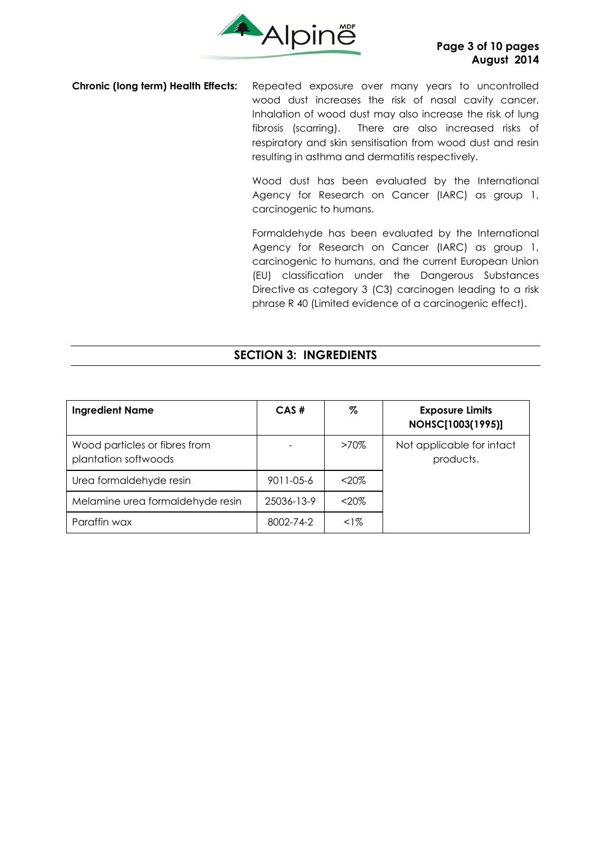

**Chronic (long term) Health Effects:** Repeated exposure over many years to uncontrolled wood dust increases the risk of nasal cavity cancer. Inhalation of wood dust may also increase the risk of lung fibrosis (scarring). There are also increased risks of respiratory and skin sensitisation from wood dust and resin resulting in asthma and dermatitis respectively.

> Wood dust has been evaluated by the International Agency for Research on Cancer (IARC) as group 1, carcinogenic to humans.

> Formaldehyde has been evaluated by the International Agency for Research on Cancer (IARC) as group 1, carcinogenic to humans, and the current European Union (EU) classification under the Dangerous Substances Directive as category 3 (C3) carcinogen leading to a risk phrase R 40 (Limited evidence of a carcinogenic effect).

# **SECTION 3: INGREDIENTS**

| <b>Ingredient Name</b>                                | CAS#       | %       | <b>Exposure Limits</b><br>NOHSC[1003(1995)] |
|-------------------------------------------------------|------------|---------|---------------------------------------------|
| Wood particles or fibres from<br>plantation softwoods |            | $>70\%$ | Not applicable for intact<br>products.      |
| Urea formaldehyde resin                               | 9011-05-6  | $<20\%$ |                                             |
| Melamine urea formaldehyde resin                      | 25036-13-9 | $20%$   |                                             |
| Paraffin wax                                          | 8002-74-2  | $1\%$   |                                             |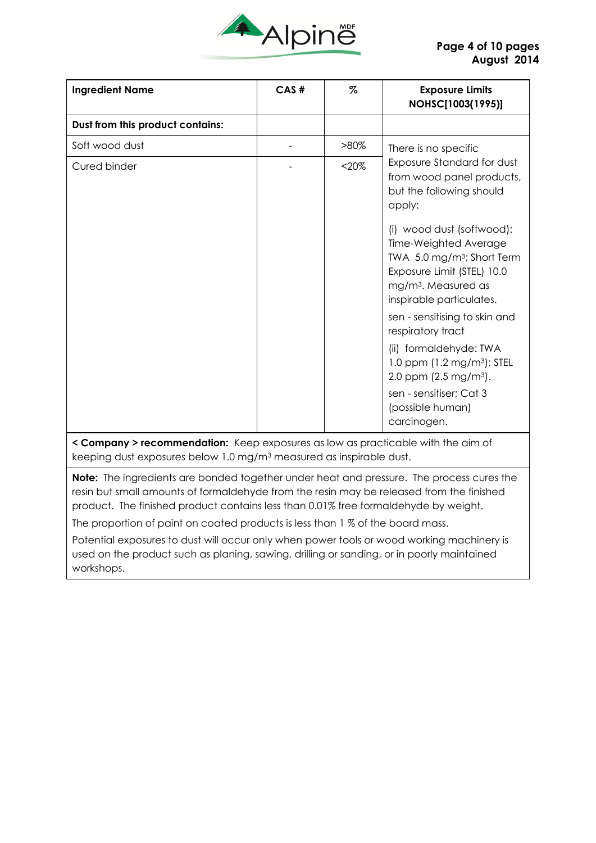

| <b>Ingredient Name</b>                                                           | CAS# | $\%$     | <b>Exposure Limits</b><br>NOHSC[1003(1995)]                                                                                                                  |
|----------------------------------------------------------------------------------|------|----------|--------------------------------------------------------------------------------------------------------------------------------------------------------------|
| Dust from this product contains:                                                 |      |          |                                                                                                                                                              |
| Soft wood dust                                                                   |      | $>80\%$  | There is no specific                                                                                                                                         |
| Cured binder                                                                     |      | $< 20\%$ | Exposure Standard for dust<br>from wood panel products,<br>but the following should<br>apply:<br>(i) wood dust (softwood):                                   |
|                                                                                  |      |          | Time-Weighted Average<br>TWA 5.0 mg/m <sup>3</sup> ; Short Term<br>Exposure Limit (STEL) 10.0<br>mg/m <sup>3</sup> . Measured as<br>inspirable particulates. |
|                                                                                  |      |          | sen - sensitising to skin and<br>respiratory tract                                                                                                           |
|                                                                                  |      |          | (ii) formaldehyde: TWA<br>1.0 ppm $(1.2 \text{ mg/m}^3)$ ; STEL<br>2.0 ppm (2.5 mg/m <sup>3</sup> ).                                                         |
|                                                                                  |      |          | sen - sensitiser; Cat 3<br>(possible human)<br>carcinogen.                                                                                                   |
| < Company > recommendation: Keep exposures as low as practicable with the aim of |      |          |                                                                                                                                                              |

keeping dust exposures below 1.0 mg/m<sup>3</sup> measured as inspirable dust.

**Note:** The ingredients are bonded together under heat and pressure. The process cures the resin but small amounts of formaldehyde from the resin may be released from the finished product. The finished product contains less than 0.01% free formaldehyde by weight.

The proportion of paint on coated products is less than 1 % of the board mass.

Potential exposures to dust will occur only when power tools or wood working machinery is used on the product such as planing, sawing, drilling or sanding, or in poorly maintained workshops.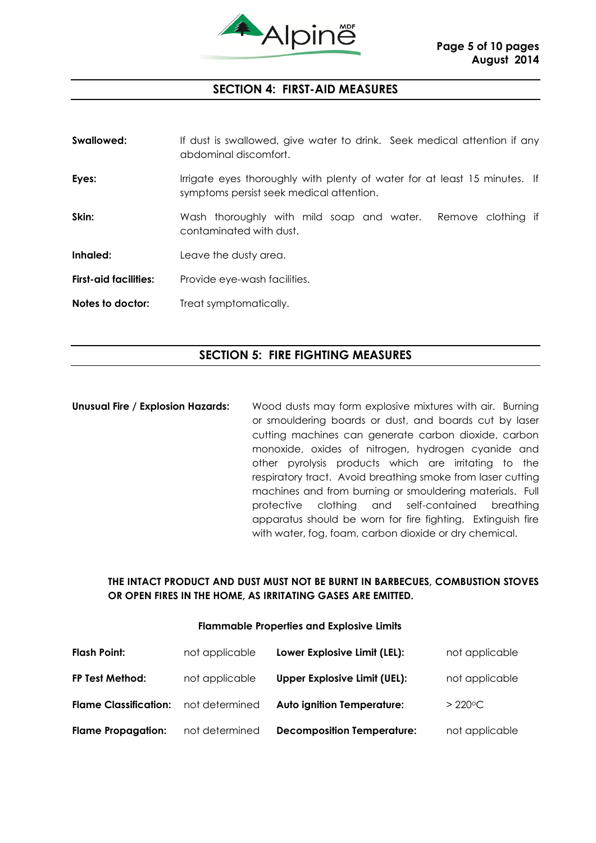

#### **SECTION 4: FIRST-AID MEASURES**

| Swallowed:                   | If dust is swallowed, give water to drink. Seek medical attention if any<br>abdominal discomfort.                     |
|------------------------------|-----------------------------------------------------------------------------------------------------------------------|
| Eyes:                        | Irrigate eyes thoroughly with plenty of water for at least 15 minutes. If<br>symptoms persist seek medical attention. |
| Skin:                        | Wash thoroughly with mild soap and water. Remove clothing if<br>contaminated with dust.                               |
| Inhaled:                     | Leave the dusty area.                                                                                                 |
| <b>First-aid facilities:</b> | Provide eye-wash facilities.                                                                                          |
| Notes to doctor:             | Treat symptomatically.                                                                                                |

# **SECTION 5: FIRE FIGHTING MEASURES**

**Unusual Fire / Explosion Hazards:** Wood dusts may form explosive mixtures with air. Burning or smouldering boards or dust, and boards cut by laser cutting machines can generate carbon dioxide, carbon monoxide, oxides of nitrogen, hydrogen cyanide and other pyrolysis products which are irritating to the respiratory tract. Avoid breathing smoke from laser cutting machines and from burning or smouldering materials. Full protective clothing and self-contained breathing apparatus should be worn for fire fighting. Extinguish fire with water, fog, foam, carbon dioxide or dry chemical.

#### **THE INTACT PRODUCT AND DUST MUST NOT BE BURNT IN BARBECUES, COMBUSTION STOVES OR OPEN FIRES IN THE HOME, AS IRRITATING GASES ARE EMITTED.**

#### **Flammable Properties and Explosive Limits**

| <b>Flash Point:</b>          | not applicable | Lower Explosive Limit (LEL):        | not applicable    |
|------------------------------|----------------|-------------------------------------|-------------------|
| FP Test Method:              | not applicable | <b>Upper Explosive Limit (UEL):</b> | not applicable    |
| <b>Flame Classification:</b> | not determined | <b>Auto ignition Temperature:</b>   | $> 220^{\circ}$ C |
| <b>Flame Propagation:</b>    | not determined | <b>Decomposition Temperature:</b>   | not applicable    |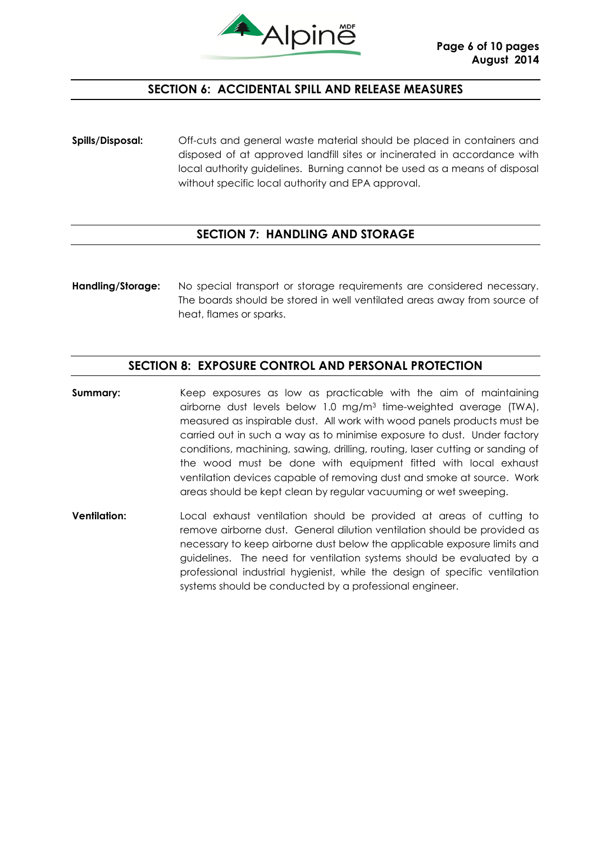

# **SECTION 6: ACCIDENTAL SPILL AND RELEASE MEASURES**

**Spills/Disposal:** Off-cuts and general waste material should be placed in containers and disposed of at approved landfill sites or incinerated in accordance with local authority guidelines. Burning cannot be used as a means of disposal without specific local authority and EPA approval.

# **SECTION 7: HANDLING AND STORAGE**

**Handling/Storage:** No special transport or storage requirements are considered necessary. The boards should be stored in well ventilated areas away from source of heat, flames or sparks.

#### **SECTION 8: EXPOSURE CONTROL AND PERSONAL PROTECTION**

- **Summary:** Keep exposures as low as practicable with the aim of maintaining airborne dust levels below 1.0 mg/m<sup>3</sup> time-weighted average (TWA), measured as inspirable dust. All work with wood panels products must be carried out in such a way as to minimise exposure to dust. Under factory conditions, machining, sawing, drilling, routing, laser cutting or sanding of the wood must be done with equipment fitted with local exhaust ventilation devices capable of removing dust and smoke at source. Work areas should be kept clean by regular vacuuming or wet sweeping.
- **Ventilation:** Local exhaust ventilation should be provided at areas of cutting to remove airborne dust. General dilution ventilation should be provided as necessary to keep airborne dust below the applicable exposure limits and guidelines. The need for ventilation systems should be evaluated by a professional industrial hygienist, while the design of specific ventilation systems should be conducted by a professional engineer.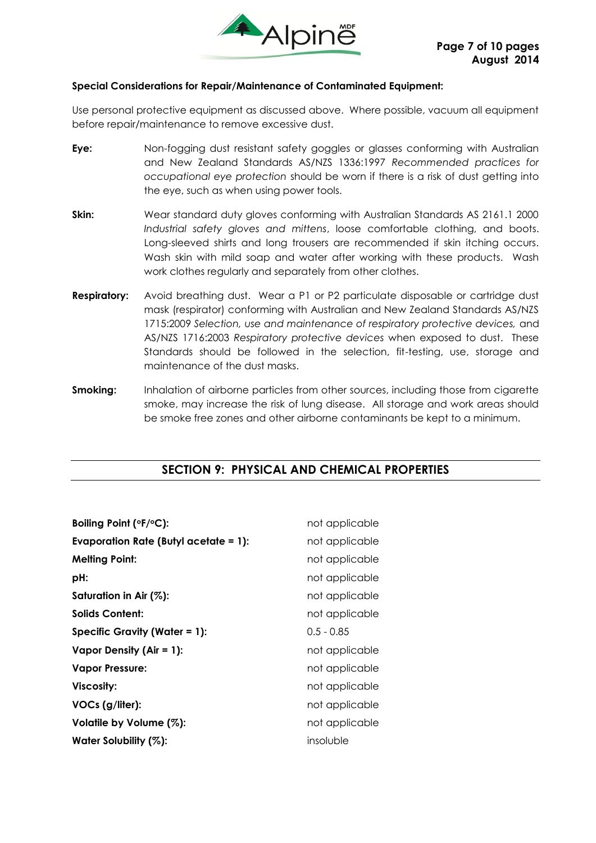

#### **Special Considerations for Repair/Maintenance of Contaminated Equipment:**

Use personal protective equipment as discussed above. Where possible, vacuum all equipment before repair/maintenance to remove excessive dust.

- **Eye:** Non-fogging dust resistant safety goggles or glasses conforming with Australian and New Zealand Standards AS/NZS 1336:1997 *Recommended practices for occupational eye protection* should be worn if there is a risk of dust getting into the eye, such as when using power tools.
- **Skin:** Wear standard duty gloves conforming with Australian Standards AS 2161.1 2000 *Industrial safety gloves and mittens*, loose comfortable clothing, and boots. Long-sleeved shirts and long trousers are recommended if skin itching occurs. Wash skin with mild soap and water after working with these products. Wash work clothes regularly and separately from other clothes.
- **Respiratory:** Avoid breathing dust. Wear a P1 or P2 particulate disposable or cartridge dust mask (respirator) conforming with Australian and New Zealand Standards AS/NZS 1715:2009 *Selection, use and maintenance of respiratory protective devices,* and AS/NZS 1716:2003 *Respiratory protective devices* when exposed to dust. These Standards should be followed in the selection, fit-testing, use, storage and maintenance of the dust masks.
- **Smoking:** Inhalation of airborne particles from other sources, including those from cigarette smoke, may increase the risk of lung disease. All storage and work areas should be smoke free zones and other airborne contaminants be kept to a minimum.

# **SECTION 9: PHYSICAL AND CHEMICAL PROPERTIES**

| Boiling Point (°F/°C):                       | not applicable |
|----------------------------------------------|----------------|
| <b>Evaporation Rate (Butyl acetate = 1):</b> | not applicable |
| <b>Melting Point:</b>                        | not applicable |
| pH:                                          | not applicable |
| Saturation in Air (%):                       | not applicable |
| <b>Solids Content:</b>                       | not applicable |
| <b>Specific Gravity (Water = 1):</b>         | $0.5 - 0.85$   |
| Vapor Density (Air = $1$ ):                  | not applicable |
| <b>Vapor Pressure:</b>                       | not applicable |
| Viscosity:                                   | not applicable |
| VOCs (g/liter):                              | not applicable |
| Volatile by Volume (%):                      | not applicable |
| Water Solubility (%):                        | insoluble      |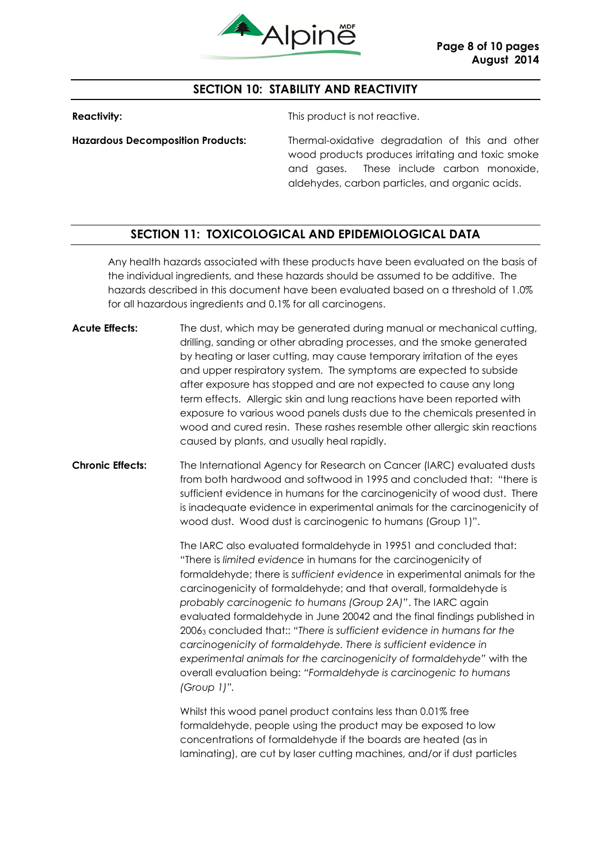

# **SECTION 10: STABILITY AND REACTIVITY**

**Reactivity:** This product is not reactive.

**Hazardous Decomposition Products:** Thermal-oxidative degradation of this and other wood products produces irritating and toxic smoke and gases. These include carbon monoxide, aldehydes, carbon particles, and organic acids.

# **SECTION 11: TOXICOLOGICAL AND EPIDEMIOLOGICAL DATA**

Any health hazards associated with these products have been evaluated on the basis of the individual ingredients, and these hazards should be assumed to be additive. The hazards described in this document have been evaluated based on a threshold of 1.0% for all hazardous ingredients and 0.1% for all carcinogens.

- **Acute Effects:** The dust, which may be generated during manual or mechanical cutting, drilling, sanding or other abrading processes, and the smoke generated by heating or laser cutting, may cause temporary irritation of the eyes and upper respiratory system. The symptoms are expected to subside after exposure has stopped and are not expected to cause any long term effects. Allergic skin and lung reactions have been reported with exposure to various wood panels dusts due to the chemicals presented in wood and cured resin. These rashes resemble other allergic skin reactions caused by plants, and usually heal rapidly.
- **Chronic Effects:** The International Agency for Research on Cancer (IARC) evaluated dusts from both hardwood and softwood in 1995 and concluded that: "there is sufficient evidence in humans for the carcinogenicity of wood dust. There is inadequate evidence in experimental animals for the carcinogenicity of wood dust. Wood dust is carcinogenic to humans (Group 1)".

The IARC also evaluated formaldehyde in 19951 and concluded that: "There is *limited evidence* in humans for the carcinogenicity of formaldehyde; there is *sufficient evidence* in experimental animals for the carcinogenicity of formaldehyde; and that overall, formaldehyde is *probably carcinogenic to humans (Group 2A)"*. The IARC again evaluated formaldehyde in June 20042 and the final findings published in 2006<sup>3</sup> concluded that:: *"There is sufficient evidence in humans for the carcinogenicity of formaldehyde. There is sufficient evidence in experimental animals for the carcinogenicity of formaldehyde"* with the overall evaluation being: *"Formaldehyde is carcinogenic to humans (Group 1)".*

Whilst this wood panel product contains less than 0.01% free formaldehyde, people using the product may be exposed to low concentrations of formaldehyde if the boards are heated (as in laminating), are cut by laser cutting machines, and/or if dust particles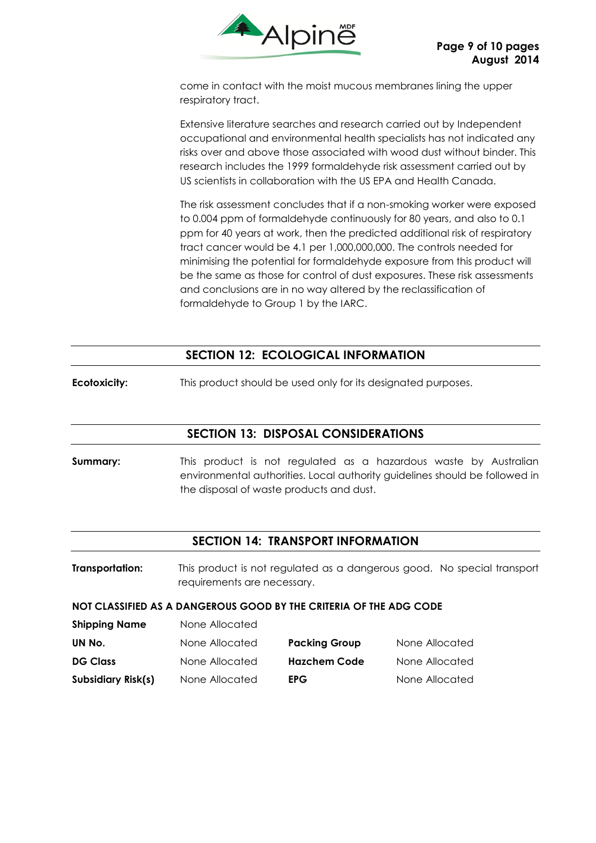

come in contact with the moist mucous membranes lining the upper respiratory tract.

Extensive literature searches and research carried out by Independent occupational and environmental health specialists has not indicated any risks over and above those associated with wood dust without binder. This research includes the 1999 formaldehyde risk assessment carried out by US scientists in collaboration with the US EPA and Health Canada.

The risk assessment concludes that if a non-smoking worker were exposed to 0.004 ppm of formaldehyde continuously for 80 years, and also to 0.1 ppm for 40 years at work, then the predicted additional risk of respiratory tract cancer would be 4.1 per 1,000,000,000. The controls needed for minimising the potential for formaldehyde exposure from this product will be the same as those for control of dust exposures. These risk assessments and conclusions are in no way altered by the reclassification of formaldehyde to Group 1 by the IARC.

# **SECTION 12: ECOLOGICAL INFORMATION**

**Ecotoxicity:** This product should be used only for its designated purposes.

**Shipping Name** None Allocated

# **SECTION 13: DISPOSAL CONSIDERATIONS**

**Summary:** This product is not regulated as a hazardous waste by Australian environmental authorities. Local authority guidelines should be followed in the disposal of waste products and dust.

#### **SECTION 14: TRANSPORT INFORMATION**

**Transportation:** This product is not regulated as a dangerous good. No special transport requirements are necessary.

#### **NOT CLASSIFIED AS A DANGEROUS GOOD BY THE CRITERIA OF THE ADG CODE**

| "                  | ,,,,,,,,,,,,,,,,, |                      |                |
|--------------------|-------------------|----------------------|----------------|
| UN No.             | None Allocated    | <b>Packing Group</b> | None Allocated |
| <b>DG Class</b>    | None Allocated    | <b>Hazchem Code</b>  | None Allocated |
| Subsidiary Risk(s) | None Allocated    | <b>EPG</b>           | None Allocated |